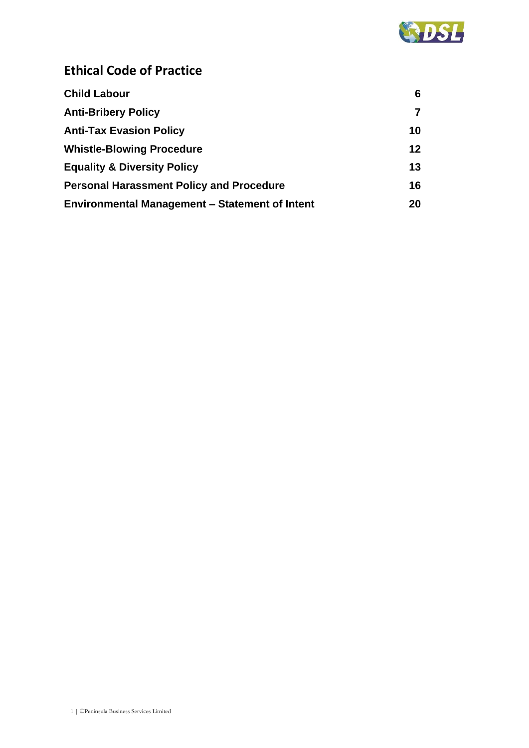

# **Ethical Code of Practice**

| <b>Child Labour</b>                                   | 6  |
|-------------------------------------------------------|----|
| <b>Anti-Bribery Policy</b>                            |    |
| <b>Anti-Tax Evasion Policy</b>                        | 10 |
| <b>Whistle-Blowing Procedure</b>                      | 12 |
| <b>Equality &amp; Diversity Policy</b>                | 13 |
| <b>Personal Harassment Policy and Procedure</b>       | 16 |
| <b>Environmental Management - Statement of Intent</b> | 20 |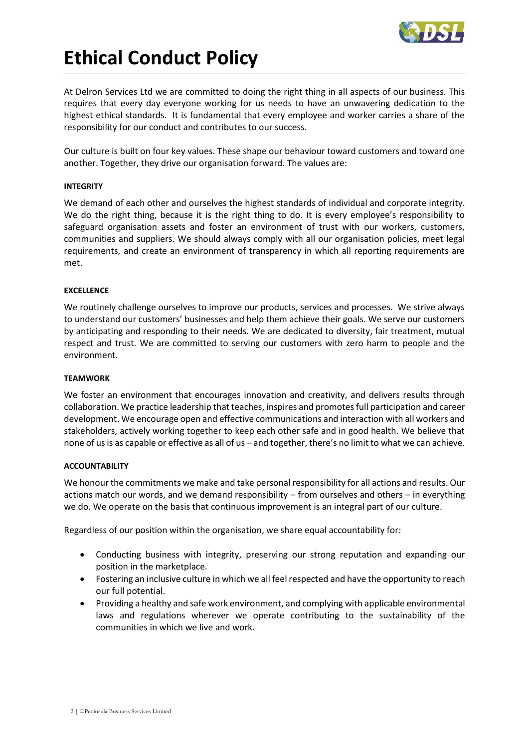

# **Ethical Conduct Policy**

At Delron Services Ltd we are committed to doing the right thing in all aspects of our business. This requires that every day everyone working for us needs to have an unwavering dedication to the highest ethical standards. It is fundamental that every employee and worker carries a share of the responsibility for our conduct and contributes to our success.

Our culture is built on four key values. These shape our behaviour toward customers and toward one another. Together, they drive our organisation forward. The values are:

#### **INTEGRITY**

We demand of each other and ourselves the highest standards of individual and corporate integrity. We do the right thing, because it is the right thing to do. It is every employee's responsibility to safeguard organisation assets and foster an environment of trust with our workers, customers, communities and suppliers. We should always comply with all our organisation policies, meet legal requirements, and create an environment of transparency in which all reporting requirements are met.

#### **EXCELLENCE**

We routinely challenge ourselves to improve our products, services and processes. We strive always to understand our customers' businesses and help them achieve their goals. We serve our customers by anticipating and responding to their needs. We are dedicated to diversity, fair treatment, mutual respect and trust. We are committed to serving our customers with zero harm to people and the environment.

#### **TEAMWORK**

We foster an environment that encourages innovation and creativity, and delivers results through collaboration. We practice leadership that teaches, inspires and promotes full participation and career development. We encourage open and effective communications and interaction with all workers and stakeholders, actively working together to keep each other safe and in good health. We believe that none of us is as capable or effective as all of us – and together, there's no limit to what we can achieve.

## **ACCOUNTABILITY**

We honour the commitments we make and take personal responsibility for all actions and results. Our actions match our words, and we demand responsibility – from ourselves and others – in everything we do. We operate on the basis that continuous improvement is an integral part of our culture.

Regardless of our position within the organisation, we share equal accountability for:

- Conducting business with integrity, preserving our strong reputation and expanding our position in the marketplace.
- Fostering an inclusive culture in which we all feel respected and have the opportunity to reach our full potential.
- Providing a healthy and safe work environment, and complying with applicable environmental laws and regulations wherever we operate contributing to the sustainability of the communities in which we live and work.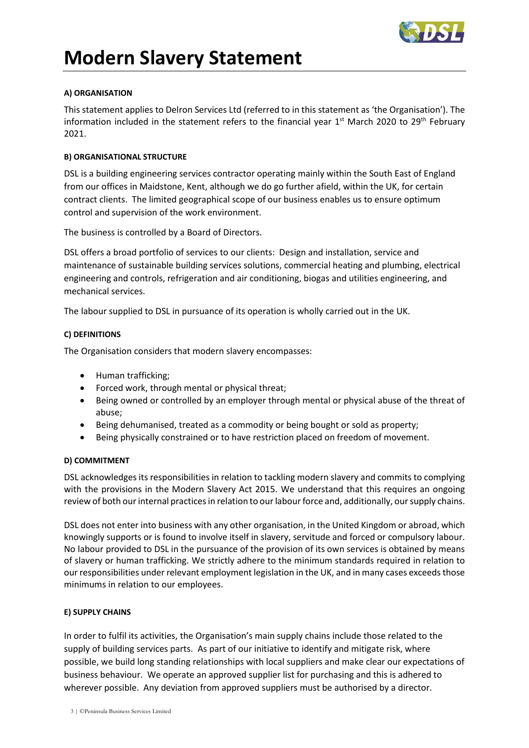

# **Modern Slavery Statement**

# **A) ORGANISATION**

This statement applies to Delron Services Ltd (referred to in this statement as 'the Organisation'). The information included in the statement refers to the financial year 1<sup>st</sup> March 2020 to 29<sup>th</sup> February 2021.

# **B) ORGANISATIONAL STRUCTURE**

DSL is a building engineering services contractor operating mainly within the South East of England from our offices in Maidstone, Kent, although we do go further afield, within the UK, for certain contract clients. The limited geographical scope of our business enables us to ensure optimum control and supervision of the work environment.

The business is controlled by a Board of Directors.

DSL offers a broad portfolio of services to our clients: Design and installation, service and maintenance of sustainable building services solutions, commercial heating and plumbing, electrical engineering and controls, refrigeration and air conditioning, biogas and utilities engineering, and mechanical services.

The labour supplied to DSL in pursuance of its operation is wholly carried out in the UK.

# **C) DEFINITIONS**

The Organisation considers that modern slavery encompasses:

- Human trafficking;
- Forced work, through mental or physical threat;
- Being owned or controlled by an employer through mental or physical abuse of the threat of abuse;
- Being dehumanised, treated as a commodity or being bought or sold as property;
- Being physically constrained or to have restriction placed on freedom of movement.

## **D) COMMITMENT**

DSL acknowledges its responsibilities in relation to tackling modern slavery and commits to complying with the provisions in the Modern Slavery Act 2015. We understand that this requires an ongoing review of both our internal practices in relation to our labour force and, additionally, our supply chains.

DSL does not enter into business with any other organisation, in the United Kingdom or abroad, which knowingly supports or is found to involve itself in slavery, servitude and forced or compulsory labour. No labour provided to DSL in the pursuance of the provision of its own services is obtained by means of slavery or human trafficking. We strictly adhere to the minimum standards required in relation to our responsibilities under relevant employment legislation in the UK, and in many cases exceeds those minimums in relation to our employees.

## **E) SUPPLY CHAINS**

In order to fulfil its activities, the Organisation's main supply chains include those related to the supply of building services parts. As part of our initiative to identify and mitigate risk, where possible, we build long standing relationships with local suppliers and make clear our expectations of business behaviour. We operate an approved supplier list for purchasing and this is adhered to wherever possible. Any deviation from approved suppliers must be authorised by a director.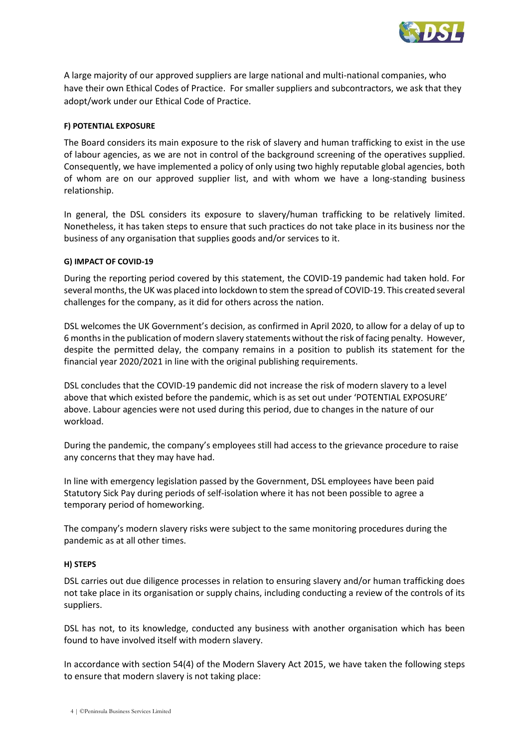

A large majority of our approved suppliers are large national and multi-national companies, who have their own Ethical Codes of Practice. For smaller suppliers and subcontractors, we ask that they adopt/work under our Ethical Code of Practice.

#### **F) POTENTIAL EXPOSURE**

The Board considers its main exposure to the risk of slavery and human trafficking to exist in the use of labour agencies, as we are not in control of the background screening of the operatives supplied. Consequently, we have implemented a policy of only using two highly reputable global agencies, both of whom are on our approved supplier list, and with whom we have a long-standing business relationship.

In general, the DSL considers its exposure to slavery/human trafficking to be relatively limited. Nonetheless, it has taken steps to ensure that such practices do not take place in its business nor the business of any organisation that supplies goods and/or services to it.

#### **G) IMPACT OF COVID-19**

During the reporting period covered by this statement, the COVID-19 pandemic had taken hold. For several months, the UK was placed into lockdown to stem the spread of COVID-19. This created several challenges for the company, as it did for others across the nation.

DSL welcomes the UK Government's decision, as confirmed in April 2020, to allow for a delay of up to 6 months in the publication of modern slavery statements without the risk of facing penalty. However, despite the permitted delay, the company remains in a position to publish its statement for the financial year 2020/2021 in line with the original publishing requirements.

DSL concludes that the COVID-19 pandemic did not increase the risk of modern slavery to a level above that which existed before the pandemic, which is as set out under 'POTENTIAL EXPOSURE' above. Labour agencies were not used during this period, due to changes in the nature of our workload.

During the pandemic, the company's employees still had access to the grievance procedure to raise any concerns that they may have had.

In line with emergency legislation passed by the Government, DSL employees have been paid Statutory Sick Pay during periods of self-isolation where it has not been possible to agree a temporary period of homeworking.

The company's modern slavery risks were subject to the same monitoring procedures during the pandemic as at all other times.

#### **H) STEPS**

DSL carries out due diligence processes in relation to ensuring slavery and/or human trafficking does not take place in its organisation or supply chains, including conducting a review of the controls of its suppliers.

DSL has not, to its knowledge, conducted any business with another organisation which has been found to have involved itself with modern slavery.

In accordance with section 54(4) of the Modern Slavery Act 2015, we have taken the following steps to ensure that modern slavery is not taking place: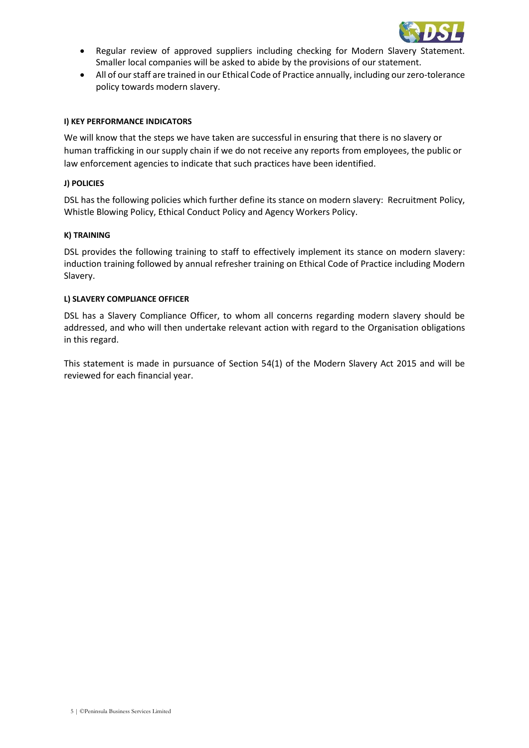

- Regular review of approved suppliers including checking for Modern Slavery Statement. Smaller local companies will be asked to abide by the provisions of our statement.
- All of our staff are trained in our Ethical Code of Practice annually, including our zero-tolerance policy towards modern slavery.

#### **I) KEY PERFORMANCE INDICATORS**

We will know that the steps we have taken are successful in ensuring that there is no slavery or human trafficking in our supply chain if we do not receive any reports from employees, the public or law enforcement agencies to indicate that such practices have been identified.

#### **J) POLICIES**

DSL has the following policies which further define its stance on modern slavery: Recruitment Policy, Whistle Blowing Policy, Ethical Conduct Policy and Agency Workers Policy.

#### **K) TRAINING**

DSL provides the following training to staff to effectively implement its stance on modern slavery: induction training followed by annual refresher training on Ethical Code of Practice including Modern Slavery.

#### **L) SLAVERY COMPLIANCE OFFICER**

DSL has a Slavery Compliance Officer, to whom all concerns regarding modern slavery should be addressed, and who will then undertake relevant action with regard to the Organisation obligations in this regard.

This statement is made in pursuance of Section 54(1) of the Modern Slavery Act 2015 and will be reviewed for each financial year.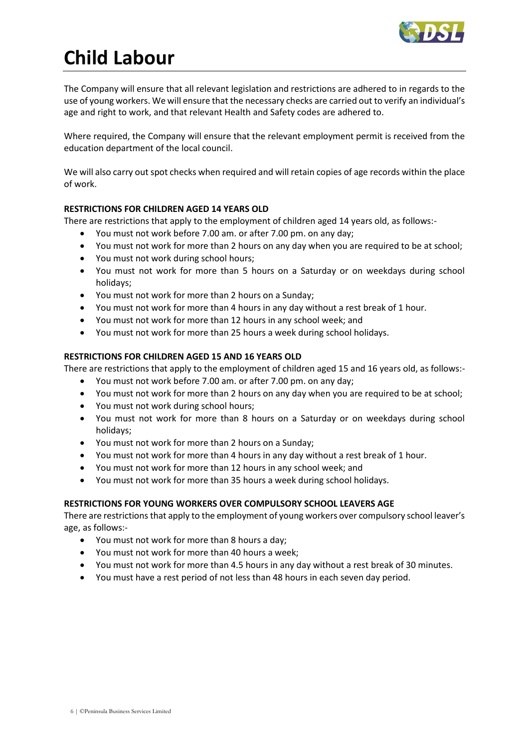

# <span id="page-5-0"></span>**Child Labour**

The Company will ensure that all relevant legislation and restrictions are adhered to in regards to the use of young workers. We will ensure that the necessary checks are carried out to verify an individual's age and right to work, and that relevant Health and Safety codes are adhered to.

Where required, the Company will ensure that the relevant employment permit is received from the education department of the local council.

We will also carry out spot checks when required and will retain copies of age records within the place of work.

# **RESTRICTIONS FOR CHILDREN AGED 14 YEARS OLD**

There are restrictions that apply to the employment of children aged 14 years old, as follows:-

- You must not work before 7.00 am. or after 7.00 pm. on any day;
- You must not work for more than 2 hours on any day when you are required to be at school;
- You must not work during school hours;
- You must not work for more than 5 hours on a Saturday or on weekdays during school holidays;
- You must not work for more than 2 hours on a Sunday;
- You must not work for more than 4 hours in any day without a rest break of 1 hour.
- You must not work for more than 12 hours in any school week; and
- You must not work for more than 25 hours a week during school holidays.

# **RESTRICTIONS FOR CHILDREN AGED 15 AND 16 YEARS OLD**

There are restrictions that apply to the employment of children aged 15 and 16 years old, as follows:-

- You must not work before 7.00 am. or after 7.00 pm. on any day;
- You must not work for more than 2 hours on any day when you are required to be at school;
- You must not work during school hours;
- You must not work for more than 8 hours on a Saturday or on weekdays during school holidays;
- You must not work for more than 2 hours on a Sunday;
- You must not work for more than 4 hours in any day without a rest break of 1 hour.
- You must not work for more than 12 hours in any school week; and
- You must not work for more than 35 hours a week during school holidays.

# **RESTRICTIONS FOR YOUNG WORKERS OVER COMPULSORY SCHOOL LEAVERS AGE**

There are restrictions that apply to the employment of young workers over compulsory school leaver's age, as follows:-

- You must not work for more than 8 hours a day;
- You must not work for more than 40 hours a week;
- You must not work for more than 4.5 hours in any day without a rest break of 30 minutes.
- You must have a rest period of not less than 48 hours in each seven day period.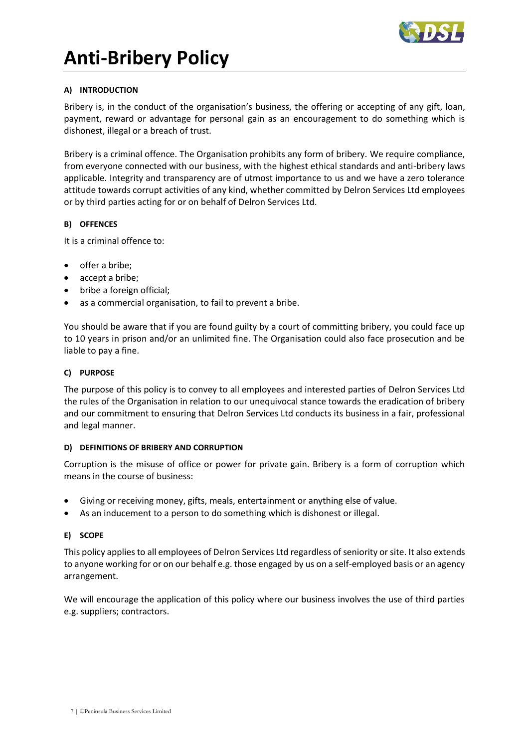

# <span id="page-6-0"></span>**Anti-Bribery Policy**

## **A) INTRODUCTION**

Bribery is, in the conduct of the organisation's business, the offering or accepting of any gift, loan, payment, reward or advantage for personal gain as an encouragement to do something which is dishonest, illegal or a breach of trust.

Bribery is a criminal offence. The Organisation prohibits any form of bribery. We require compliance, from everyone connected with our business, with the highest ethical standards and anti-bribery laws applicable. Integrity and transparency are of utmost importance to us and we have a zero tolerance attitude towards corrupt activities of any kind, whether committed by Delron Services Ltd employees or by third parties acting for or on behalf of Delron Services Ltd.

## **B) OFFENCES**

It is a criminal offence to:

- offer a bribe;
- accept a bribe;
- bribe a foreign official;
- as a commercial organisation, to fail to prevent a bribe.

You should be aware that if you are found guilty by a court of committing bribery, you could face up to 10 years in prison and/or an unlimited fine. The Organisation could also face prosecution and be liable to pay a fine.

## **C) PURPOSE**

The purpose of this policy is to convey to all employees and interested parties of Delron Services Ltd the rules of the Organisation in relation to our unequivocal stance towards the eradication of bribery and our commitment to ensuring that Delron Services Ltd conducts its business in a fair, professional and legal manner.

## **D) DEFINITIONS OF BRIBERY AND CORRUPTION**

Corruption is the misuse of office or power for private gain. Bribery is a form of corruption which means in the course of business:

- Giving or receiving money, gifts, meals, entertainment or anything else of value.
- As an inducement to a person to do something which is dishonest or illegal.

## **E) SCOPE**

This policy applies to all employees of Delron Services Ltd regardless of seniority or site. It also extends to anyone working for or on our behalf e.g. those engaged by us on a self-employed basis or an agency arrangement.

We will encourage the application of this policy where our business involves the use of third parties e.g. suppliers; contractors.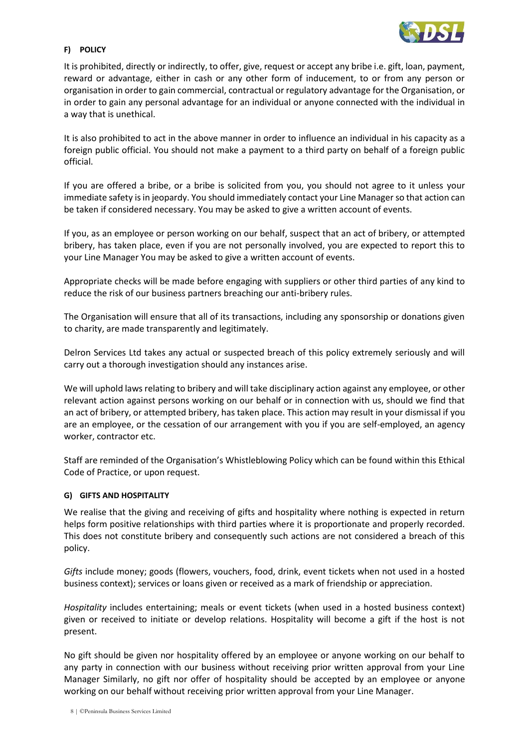

# **F) POLICY**

It is prohibited, directly or indirectly, to offer, give, request or accept any bribe i.e. gift, loan, payment, reward or advantage, either in cash or any other form of inducement, to or from any person or organisation in order to gain commercial, contractual or regulatory advantage for the Organisation, or in order to gain any personal advantage for an individual or anyone connected with the individual in a way that is unethical.

It is also prohibited to act in the above manner in order to influence an individual in his capacity as a foreign public official. You should not make a payment to a third party on behalf of a foreign public official.

If you are offered a bribe, or a bribe is solicited from you, you should not agree to it unless your immediate safety is in jeopardy. You should immediately contact your Line Manager so that action can be taken if considered necessary. You may be asked to give a written account of events.

If you, as an employee or person working on our behalf, suspect that an act of bribery, or attempted bribery, has taken place, even if you are not personally involved, you are expected to report this to your Line Manager You may be asked to give a written account of events.

Appropriate checks will be made before engaging with suppliers or other third parties of any kind to reduce the risk of our business partners breaching our anti-bribery rules.

The Organisation will ensure that all of its transactions, including any sponsorship or donations given to charity, are made transparently and legitimately.

Delron Services Ltd takes any actual or suspected breach of this policy extremely seriously and will carry out a thorough investigation should any instances arise.

We will uphold laws relating to bribery and will take disciplinary action against any employee, or other relevant action against persons working on our behalf or in connection with us, should we find that an act of bribery, or attempted bribery, has taken place. This action may result in your dismissal if you are an employee, or the cessation of our arrangement with you if you are self-employed, an agency worker, contractor etc.

Staff are reminded of the Organisation's Whistleblowing Policy which can be found within this Ethical Code of Practice, or upon request.

## **G) GIFTS AND HOSPITALITY**

We realise that the giving and receiving of gifts and hospitality where nothing is expected in return helps form positive relationships with third parties where it is proportionate and properly recorded. This does not constitute bribery and consequently such actions are not considered a breach of this policy.

*Gifts* include money; goods (flowers, vouchers, food, drink, event tickets when not used in a hosted business context); services or loans given or received as a mark of friendship or appreciation.

*Hospitality* includes entertaining; meals or event tickets (when used in a hosted business context) given or received to initiate or develop relations. Hospitality will become a gift if the host is not present.

No gift should be given nor hospitality offered by an employee or anyone working on our behalf to any party in connection with our business without receiving prior written approval from your Line Manager Similarly, no gift nor offer of hospitality should be accepted by an employee or anyone working on our behalf without receiving prior written approval from your Line Manager.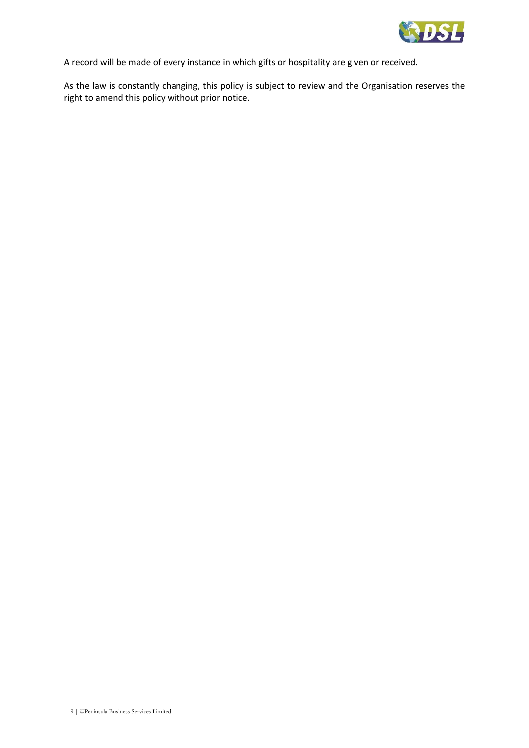

A record will be made of every instance in which gifts or hospitality are given or received.

As the law is constantly changing, this policy is subject to review and the Organisation reserves the right to amend this policy without prior notice.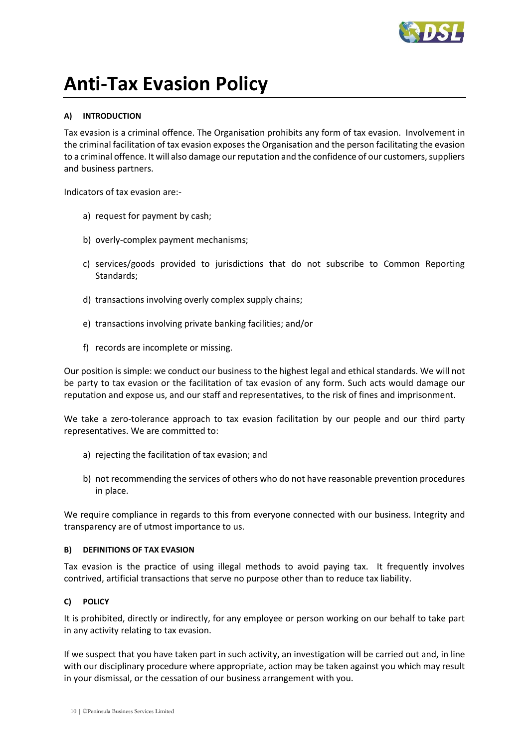

# <span id="page-9-0"></span>**Anti-Tax Evasion Policy**

# **A) INTRODUCTION**

Tax evasion is a criminal offence. The Organisation prohibits any form of tax evasion. Involvement in the criminal facilitation of tax evasion exposes the Organisation and the person facilitating the evasion to a criminal offence. It will also damage our reputation and the confidence of our customers, suppliers and business partners.

Indicators of tax evasion are:-

- a) request for payment by cash;
- b) overly-complex payment mechanisms;
- c) services/goods provided to jurisdictions that do not subscribe to Common Reporting Standards;
- d) transactions involving overly complex supply chains;
- e) transactions involving private banking facilities; and/or
- f) records are incomplete or missing.

Our position is simple: we conduct our business to the highest legal and ethical standards. We will not be party to tax evasion or the facilitation of tax evasion of any form. Such acts would damage our reputation and expose us, and our staff and representatives, to the risk of fines and imprisonment.

We take a zero-tolerance approach to tax evasion facilitation by our people and our third party representatives. We are committed to:

- a) rejecting the facilitation of tax evasion; and
- b) not recommending the services of others who do not have reasonable prevention procedures in place.

We require compliance in regards to this from everyone connected with our business. Integrity and transparency are of utmost importance to us.

#### **B) DEFINITIONS OF TAX EVASION**

Tax evasion is the practice of using illegal methods to avoid paying tax. It frequently involves contrived, artificial transactions that serve no purpose other than to reduce tax liability.

## **C) POLICY**

It is prohibited, directly or indirectly, for any employee or person working on our behalf to take part in any activity relating to tax evasion.

If we suspect that you have taken part in such activity, an investigation will be carried out and, in line with our disciplinary procedure where appropriate, action may be taken against you which may result in your dismissal, or the cessation of our business arrangement with you.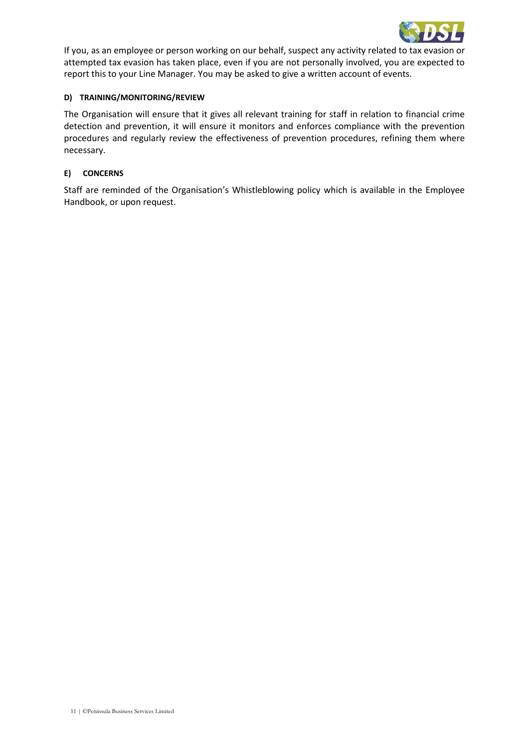

If you, as an employee or person working on our behalf, suspect any activity related to tax evasion or attempted tax evasion has taken place, even if you are not personally involved, you are expected to report this to your Line Manager. You may be asked to give a written account of events.

### **D) TRAINING/MONITORING/REVIEW**

The Organisation will ensure that it gives all relevant training for staff in relation to financial crime detection and prevention, it will ensure it monitors and enforces compliance with the prevention procedures and regularly review the effectiveness of prevention procedures, refining them where necessary.

#### **E) CONCERNS**

Staff are reminded of the Organisation's Whistleblowing policy which is available in the Employee Handbook, or upon request.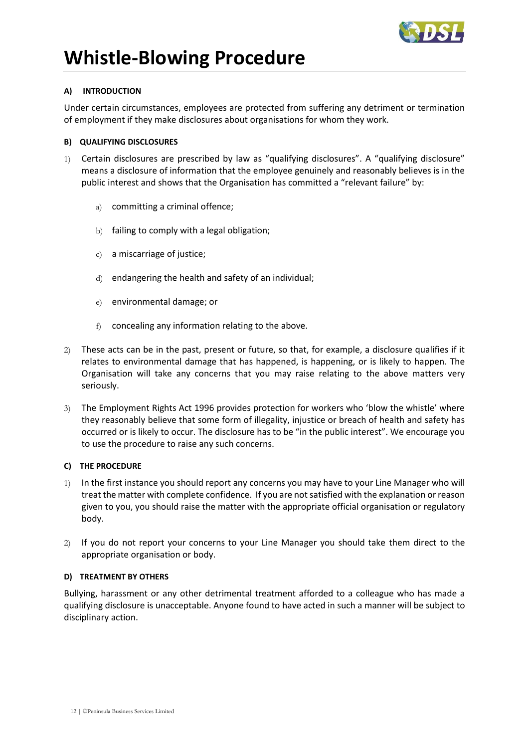

# <span id="page-11-0"></span>**Whistle-Blowing Procedure**

# **A) INTRODUCTION**

Under certain circumstances, employees are protected from suffering any detriment or termination of employment if they make disclosures about organisations for whom they work.

## **B) QUALIFYING DISCLOSURES**

- 1) Certain disclosures are prescribed by law as "qualifying disclosures". A "qualifying disclosure" means a disclosure of information that the employee genuinely and reasonably believes is in the public interest and shows that the Organisation has committed a "relevant failure" by:
	- a) committing a criminal offence;
	- b) failing to comply with a legal obligation;
	- c) a miscarriage of justice;
	- d) endangering the health and safety of an individual;
	- e) environmental damage; or
	- f) concealing any information relating to the above.
- 2) These acts can be in the past, present or future, so that, for example, a disclosure qualifies if it relates to environmental damage that has happened, is happening, or is likely to happen. The Organisation will take any concerns that you may raise relating to the above matters very seriously.
- 3) The Employment Rights Act 1996 provides protection for workers who 'blow the whistle' where they reasonably believe that some form of illegality, injustice or breach of health and safety has occurred or is likely to occur. The disclosure has to be "in the public interest". We encourage you to use the procedure to raise any such concerns.

## **C) THE PROCEDURE**

- 1) In the first instance you should report any concerns you may have to your Line Manager who will treat the matter with complete confidence. If you are not satisfied with the explanation or reason given to you, you should raise the matter with the appropriate official organisation or regulatory body.
- 2) If you do not report your concerns to your Line Manager you should take them direct to the appropriate organisation or body.

## **D) TREATMENT BY OTHERS**

Bullying, harassment or any other detrimental treatment afforded to a colleague who has made a qualifying disclosure is unacceptable. Anyone found to have acted in such a manner will be subject to disciplinary action.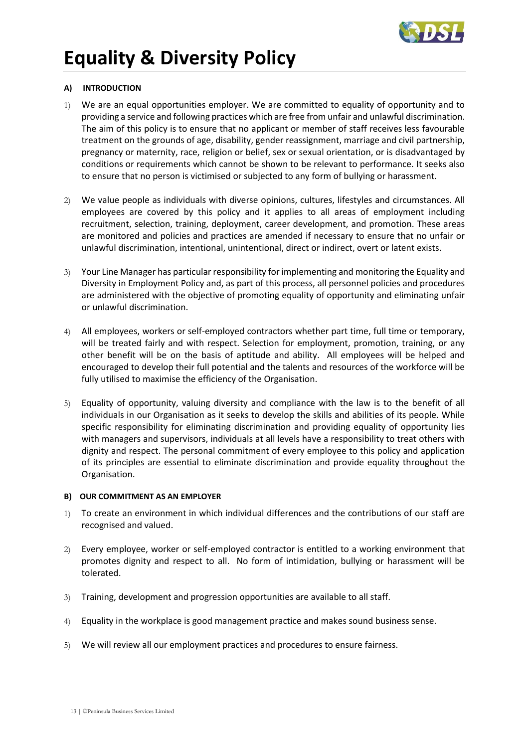

# <span id="page-12-0"></span>**Equality & Diversity Policy**

# **A) INTRODUCTION**

- 1) We are an equal opportunities employer. We are committed to equality of opportunity and to providing a service and following practices which are free from unfair and unlawful discrimination. The aim of this policy is to ensure that no applicant or member of staff receives less favourable treatment on the grounds of age, disability, gender reassignment, marriage and civil partnership, pregnancy or maternity, race, religion or belief, sex or sexual orientation, or is disadvantaged by conditions or requirements which cannot be shown to be relevant to performance. It seeks also to ensure that no person is victimised or subjected to any form of bullying or harassment.
- 2) We value people as individuals with diverse opinions, cultures, lifestyles and circumstances. All employees are covered by this policy and it applies to all areas of employment including recruitment, selection, training, deployment, career development, and promotion. These areas are monitored and policies and practices are amended if necessary to ensure that no unfair or unlawful discrimination, intentional, unintentional, direct or indirect, overt or latent exists.
- 3) Your Line Manager has particular responsibility for implementing and monitoring the Equality and Diversity in Employment Policy and, as part of this process, all personnel policies and procedures are administered with the objective of promoting equality of opportunity and eliminating unfair or unlawful discrimination.
- 4) All employees, workers or self-employed contractors whether part time, full time or temporary, will be treated fairly and with respect. Selection for employment, promotion, training, or any other benefit will be on the basis of aptitude and ability. All employees will be helped and encouraged to develop their full potential and the talents and resources of the workforce will be fully utilised to maximise the efficiency of the Organisation.
- 5) Equality of opportunity, valuing diversity and compliance with the law is to the benefit of all individuals in our Organisation as it seeks to develop the skills and abilities of its people. While specific responsibility for eliminating discrimination and providing equality of opportunity lies with managers and supervisors, individuals at all levels have a responsibility to treat others with dignity and respect. The personal commitment of every employee to this policy and application of its principles are essential to eliminate discrimination and provide equality throughout the Organisation.

## **B) OUR COMMITMENT AS AN EMPLOYER**

- 1) To create an environment in which individual differences and the contributions of our staff are recognised and valued.
- 2) Every employee, worker or self-employed contractor is entitled to a working environment that promotes dignity and respect to all. No form of intimidation, bullying or harassment will be tolerated.
- 3) Training, development and progression opportunities are available to all staff.
- 4) Equality in the workplace is good management practice and makes sound business sense.
- 5) We will review all our employment practices and procedures to ensure fairness.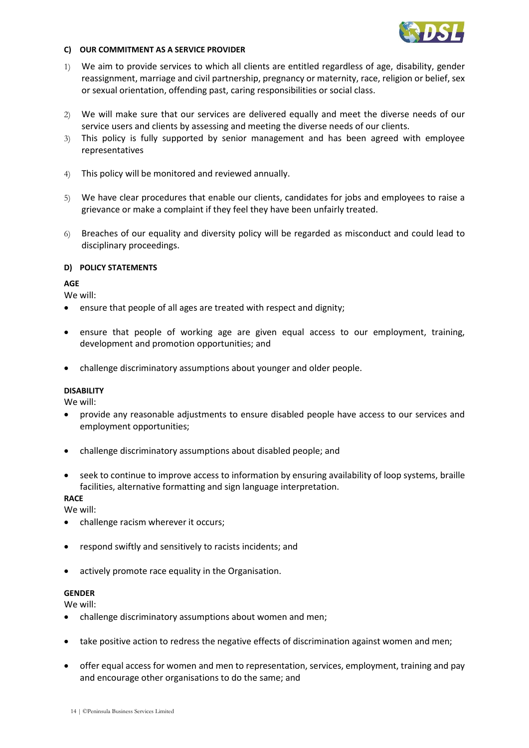

#### **C) OUR COMMITMENT AS A SERVICE PROVIDER**

- 1) We aim to provide services to which all clients are entitled regardless of age, disability, gender reassignment, marriage and civil partnership, pregnancy or maternity, race, religion or belief, sex or sexual orientation, offending past, caring responsibilities or social class.
- 2) We will make sure that our services are delivered equally and meet the diverse needs of our service users and clients by assessing and meeting the diverse needs of our clients.
- 3) This policy is fully supported by senior management and has been agreed with employee representatives
- 4) This policy will be monitored and reviewed annually.
- 5) We have clear procedures that enable our clients, candidates for jobs and employees to raise a grievance or make a complaint if they feel they have been unfairly treated.
- 6) Breaches of our equality and diversity policy will be regarded as misconduct and could lead to disciplinary proceedings.

# **D) POLICY STATEMENTS**

# **AGE**

We will:

- ensure that people of all ages are treated with respect and dignity;
- ensure that people of working age are given equal access to our employment, training, development and promotion opportunities; and
- challenge discriminatory assumptions about younger and older people.

# **DISABILITY**

We will:

- provide any reasonable adjustments to ensure disabled people have access to our services and employment opportunities;
- challenge discriminatory assumptions about disabled people; and
- seek to continue to improve access to information by ensuring availability of loop systems, braille facilities, alternative formatting and sign language interpretation.

# **RACE**

We will:

- challenge racism wherever it occurs;
- respond swiftly and sensitively to racists incidents; and
- actively promote race equality in the Organisation.

## **GENDER**

We will:

- challenge discriminatory assumptions about women and men;
- take positive action to redress the negative effects of discrimination against women and men;
- offer equal access for women and men to representation, services, employment, training and pay and encourage other organisations to do the same; and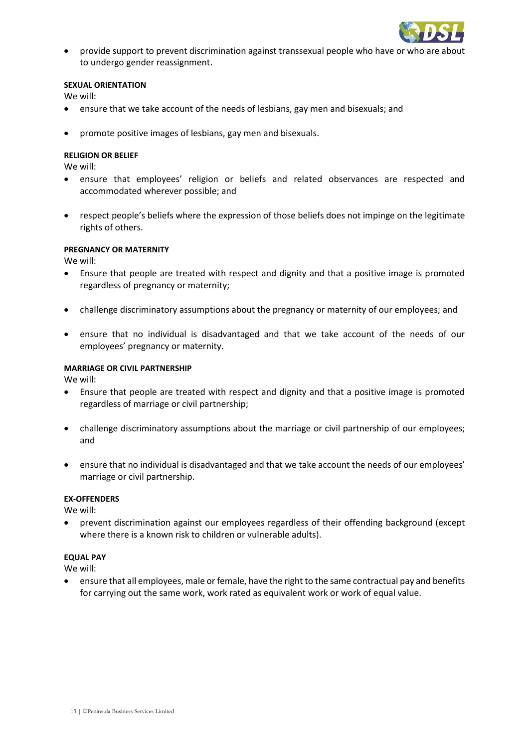

• provide support to prevent discrimination against transsexual people who have or who are about to undergo gender reassignment.

#### **SEXUAL ORIENTATION**

We will:

- ensure that we take account of the needs of lesbians, gay men and bisexuals; and
- promote positive images of lesbians, gay men and bisexuals.

#### **RELIGION OR BELIEF**

We will:

- ensure that employees' religion or beliefs and related observances are respected and accommodated wherever possible; and
- respect people's beliefs where the expression of those beliefs does not impinge on the legitimate rights of others.

#### **PREGNANCY OR MATERNITY**

We will:

- Ensure that people are treated with respect and dignity and that a positive image is promoted regardless of pregnancy or maternity;
- challenge discriminatory assumptions about the pregnancy or maternity of our employees; and
- ensure that no individual is disadvantaged and that we take account of the needs of our employees' pregnancy or maternity.

#### **MARRIAGE OR CIVIL PARTNERSHIP**

We will:

- Ensure that people are treated with respect and dignity and that a positive image is promoted regardless of marriage or civil partnership;
- challenge discriminatory assumptions about the marriage or civil partnership of our employees; and
- ensure that no individual is disadvantaged and that we take account the needs of our employees' marriage or civil partnership.

#### **EX-OFFENDERS**

We will:

• prevent discrimination against our employees regardless of their offending background (except where there is a known risk to children or vulnerable adults).

#### **EQUAL PAY**

We will:

• ensure that all employees, male or female, have the right to the same contractual pay and benefits for carrying out the same work, work rated as equivalent work or work of equal value.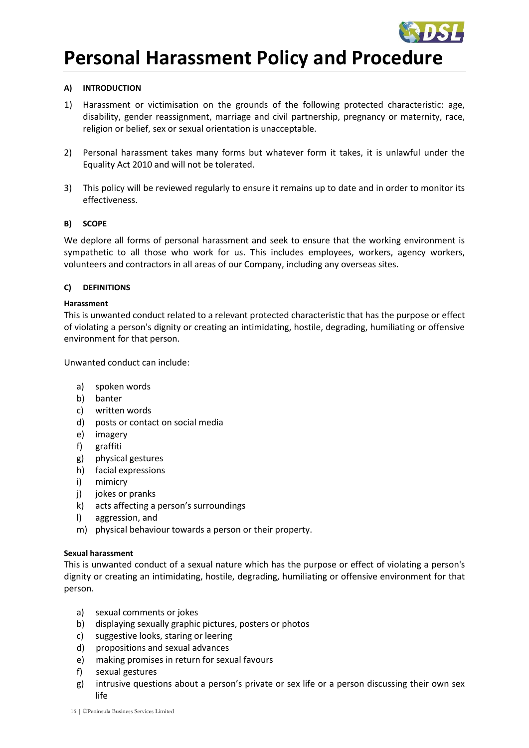

# <span id="page-15-0"></span>**Personal Harassment Policy and Procedure**

# **A) INTRODUCTION**

- 1) Harassment or victimisation on the grounds of the following protected characteristic: age, disability, gender reassignment, marriage and civil partnership, pregnancy or maternity, race, religion or belief, sex or sexual orientation is unacceptable.
- 2) Personal harassment takes many forms but whatever form it takes, it is unlawful under the Equality Act 2010 and will not be tolerated.
- 3) This policy will be reviewed regularly to ensure it remains up to date and in order to monitor its effectiveness.

## **B) SCOPE**

We deplore all forms of personal harassment and seek to ensure that the working environment is sympathetic to all those who work for us. This includes employees, workers, agency workers, volunteers and contractors in all areas of our Company, including any overseas sites.

## **C) DEFINITIONS**

## **Harassment**

This is unwanted conduct related to a relevant protected characteristic that has the purpose or effect of violating a person's dignity or creating an intimidating, hostile, degrading, humiliating or offensive environment for that person.

Unwanted conduct can include:

- a) spoken words
- b) banter
- c) written words
- d) posts or contact on social media
- e) imagery
- f) graffiti
- g) physical gestures
- h) facial expressions
- i) mimicry
- j) jokes or pranks
- k) acts affecting a person's surroundings
- l) aggression, and
- m) physical behaviour towards a person or their property.

## **Sexual harassment**

This is unwanted conduct of a sexual nature which has the purpose or effect of violating a person's dignity or creating an intimidating, hostile, degrading, humiliating or offensive environment for that person.

- a) sexual comments or jokes
- b) displaying sexually graphic pictures, posters or photos
- c) suggestive looks, staring or leering
- d) propositions and sexual advances
- e) making promises in return for sexual favours
- f) sexual gestures
- g) intrusive questions about a person's private or sex life or a person discussing their own sex life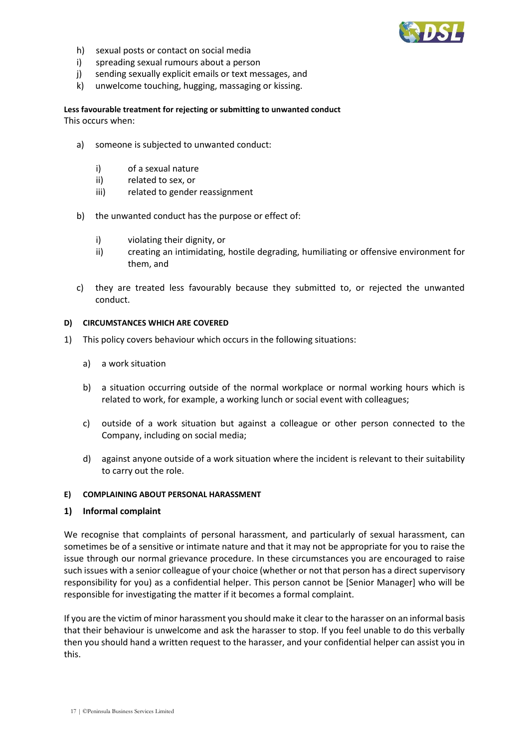

- h) sexual posts or contact on social media
- i) spreading sexual rumours about a person
- j) sending sexually explicit emails or text messages, and
- k) unwelcome touching, hugging, massaging or kissing.

**Less favourable treatment for rejecting or submitting to unwanted conduct** This occurs when:

- a) someone is subjected to unwanted conduct:
	- i) of a sexual nature
	- ii) related to sex, or
	- iii) related to gender reassignment
- b) the unwanted conduct has the purpose or effect of:
	- i) violating their dignity, or
	- ii) creating an intimidating, hostile degrading, humiliating or offensive environment for them, and
- c) they are treated less favourably because they submitted to, or rejected the unwanted conduct.

#### **D) CIRCUMSTANCES WHICH ARE COVERED**

- 1) This policy covers behaviour which occurs in the following situations:
	- a) a work situation
	- b) a situation occurring outside of the normal workplace or normal working hours which is related to work, for example, a working lunch or social event with colleagues;
	- c) outside of a work situation but against a colleague or other person connected to the Company, including on social media;
	- d) against anyone outside of a work situation where the incident is relevant to their suitability to carry out the role.

#### **E) COMPLAINING ABOUT PERSONAL HARASSMENT**

#### **1) Informal complaint**

We recognise that complaints of personal harassment, and particularly of sexual harassment, can sometimes be of a sensitive or intimate nature and that it may not be appropriate for you to raise the issue through our normal grievance procedure. In these circumstances you are encouraged to raise such issues with a senior colleague of your choice (whether or not that person has a direct supervisory responsibility for you) as a confidential helper. This person cannot be [Senior Manager] who will be responsible for investigating the matter if it becomes a formal complaint.

If you are the victim of minor harassment you should make it clear to the harasser on an informal basis that their behaviour is unwelcome and ask the harasser to stop. If you feel unable to do this verbally then you should hand a written request to the harasser, and your confidential helper can assist you in this.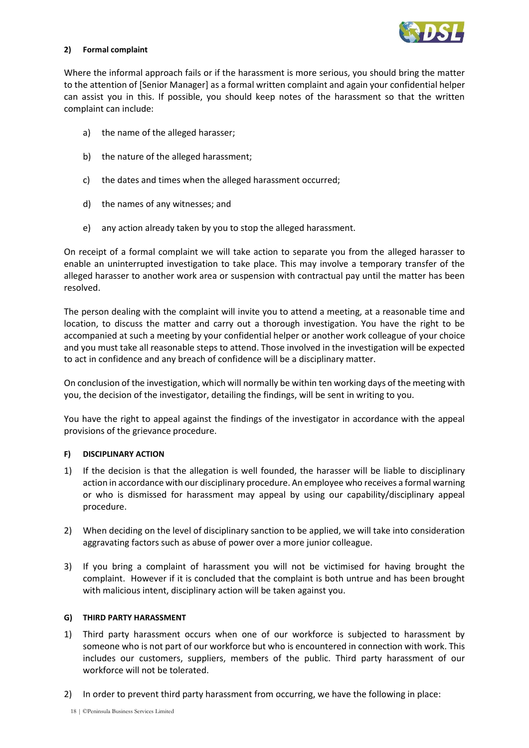

#### **2) Formal complaint**

Where the informal approach fails or if the harassment is more serious, you should bring the matter to the attention of [Senior Manager] as a formal written complaint and again your confidential helper can assist you in this. If possible, you should keep notes of the harassment so that the written complaint can include:

- a) the name of the alleged harasser;
- b) the nature of the alleged harassment;
- c) the dates and times when the alleged harassment occurred;
- d) the names of any witnesses; and
- e) any action already taken by you to stop the alleged harassment.

On receipt of a formal complaint we will take action to separate you from the alleged harasser to enable an uninterrupted investigation to take place. This may involve a temporary transfer of the alleged harasser to another work area or suspension with contractual pay until the matter has been resolved.

The person dealing with the complaint will invite you to attend a meeting, at a reasonable time and location, to discuss the matter and carry out a thorough investigation. You have the right to be accompanied at such a meeting by your confidential helper or another work colleague of your choice and you must take all reasonable steps to attend. Those involved in the investigation will be expected to act in confidence and any breach of confidence will be a disciplinary matter.

On conclusion of the investigation, which will normally be within ten working days of the meeting with you, the decision of the investigator, detailing the findings, will be sent in writing to you.

You have the right to appeal against the findings of the investigator in accordance with the appeal provisions of the grievance procedure.

## **F) DISCIPLINARY ACTION**

- 1) If the decision is that the allegation is well founded, the harasser will be liable to disciplinary action in accordance with our disciplinary procedure. An employee who receives a formal warning or who is dismissed for harassment may appeal by using our capability/disciplinary appeal procedure.
- 2) When deciding on the level of disciplinary sanction to be applied, we will take into consideration aggravating factors such as abuse of power over a more junior colleague.
- 3) If you bring a complaint of harassment you will not be victimised for having brought the complaint. However if it is concluded that the complaint is both untrue and has been brought with malicious intent, disciplinary action will be taken against you.

## **G) THIRD PARTY HARASSMENT**

- 1) Third party harassment occurs when one of our workforce is subjected to harassment by someone who is not part of our workforce but who is encountered in connection with work. This includes our customers, suppliers, members of the public. Third party harassment of our workforce will not be tolerated.
- 2) In order to prevent third party harassment from occurring, we have the following in place: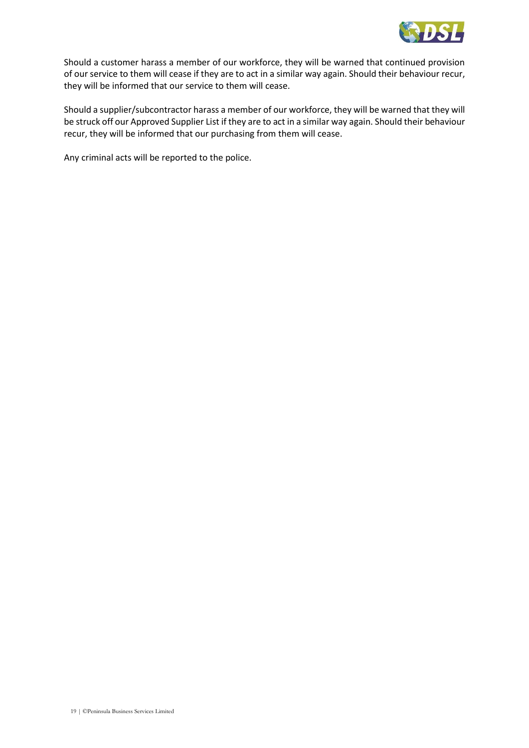

Should a customer harass a member of our workforce, they will be warned that continued provision of our service to them will cease if they are to act in a similar way again. Should their behaviour recur, they will be informed that our service to them will cease.

Should a supplier/subcontractor harass a member of our workforce, they will be warned that they will be struck off our Approved Supplier List if they are to act in a similar way again. Should their behaviour recur, they will be informed that our purchasing from them will cease.

Any criminal acts will be reported to the police.